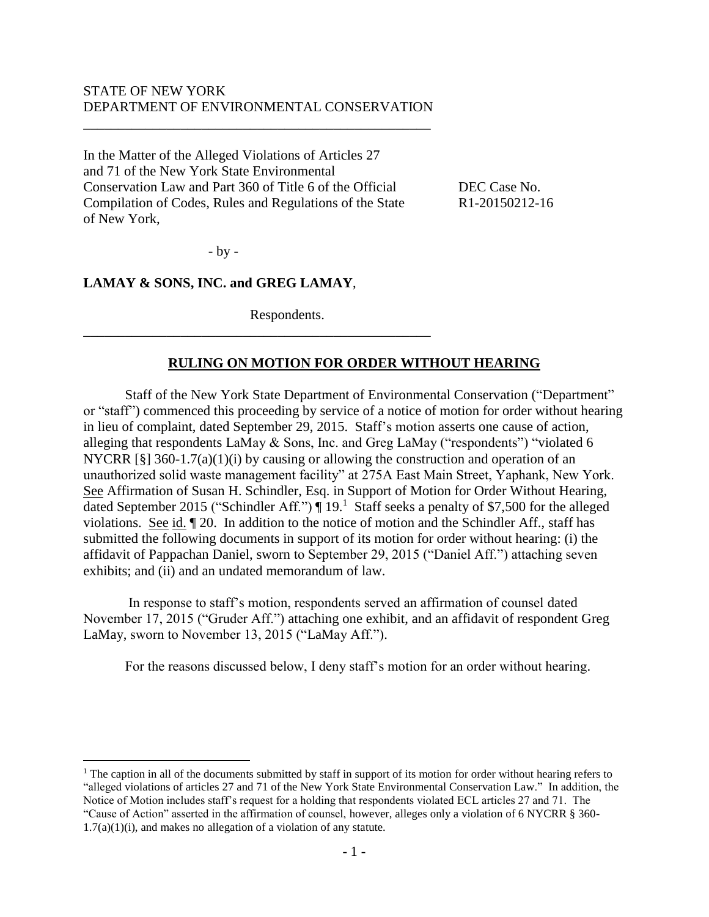### STATE OF NEW YORK DEPARTMENT OF ENVIRONMENTAL CONSERVATION

\_\_\_\_\_\_\_\_\_\_\_\_\_\_\_\_\_\_\_\_\_\_\_\_\_\_\_\_\_\_\_\_\_\_\_\_\_\_\_\_\_\_\_\_\_\_\_\_\_\_

In the Matter of the Alleged Violations of Articles 27 and 71 of the New York State Environmental Conservation Law and Part 360 of Title 6 of the Official DEC Case No. Compilation of Codes, Rules and Regulations of the State R1-20150212-16 of New York,

- by -

### **LAMAY & SONS, INC. and GREG LAMAY**,

Respondents.

\_\_\_\_\_\_\_\_\_\_\_\_\_\_\_\_\_\_\_\_\_\_\_\_\_\_\_\_\_\_\_\_\_\_\_\_\_\_\_\_\_\_\_\_\_\_\_\_\_\_

### **RULING ON MOTION FOR ORDER WITHOUT HEARING**

Staff of the New York State Department of Environmental Conservation ("Department" or "staff") commenced this proceeding by service of a notice of motion for order without hearing in lieu of complaint, dated September 29, 2015. Staff's motion asserts one cause of action, alleging that respondents LaMay & Sons, Inc. and Greg LaMay ("respondents") "violated 6 NYCRR [§] 360-1.7(a)(1)(i) by causing or allowing the construction and operation of an unauthorized solid waste management facility" at 275A East Main Street, Yaphank, New York. See Affirmation of Susan H. Schindler, Esq. in Support of Motion for Order Without Hearing, dated September 2015 ("Schindler Aff.") | 19.<sup>1</sup> Staff seeks a penalty of \$7,500 for the alleged violations. See id. ¶ 20. In addition to the notice of motion and the Schindler Aff., staff has submitted the following documents in support of its motion for order without hearing: (i) the affidavit of Pappachan Daniel, sworn to September 29, 2015 ("Daniel Aff.") attaching seven exhibits; and (ii) and an undated memorandum of law.

In response to staff's motion, respondents served an affirmation of counsel dated November 17, 2015 ("Gruder Aff.") attaching one exhibit, and an affidavit of respondent Greg LaMay, sworn to November 13, 2015 ("LaMay Aff.").

For the reasons discussed below, I deny staff's motion for an order without hearing.

<sup>1</sup> The caption in all of the documents submitted by staff in support of its motion for order without hearing refers to "alleged violations of articles 27 and 71 of the New York State Environmental Conservation Law." In addition, the Notice of Motion includes staff's request for a holding that respondents violated ECL articles 27 and 71. The "Cause of Action" asserted in the affirmation of counsel, however, alleges only a violation of 6 NYCRR § 360-

 $1.7(a)(1)(i)$ , and makes no allegation of a violation of any statute.

 $\overline{a}$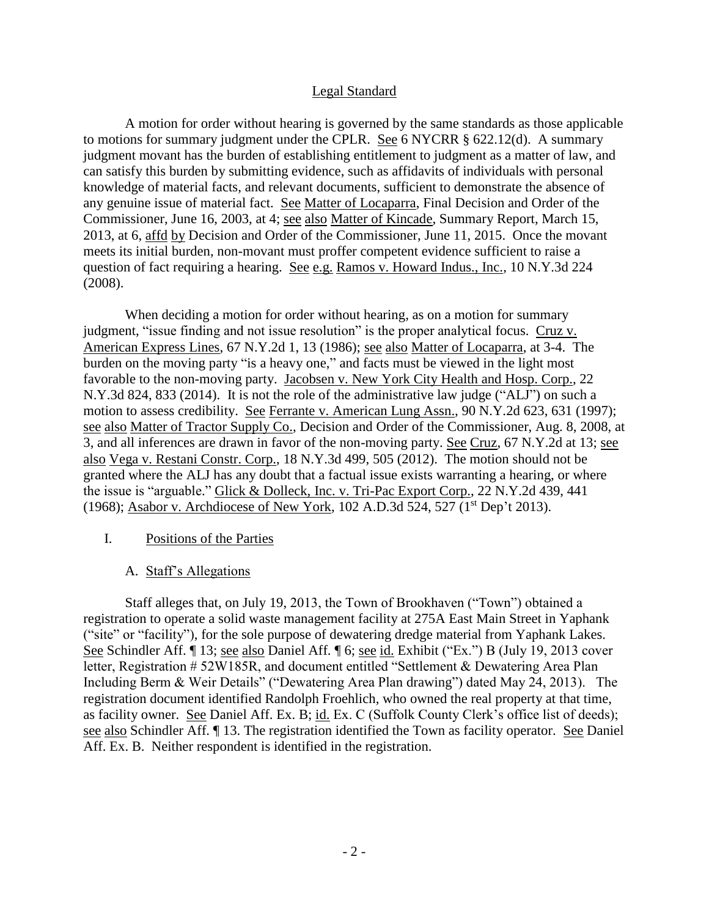#### Legal Standard

A motion for order without hearing is governed by the same standards as those applicable to motions for summary judgment under the CPLR. See 6 NYCRR § 622.12(d). A summary judgment movant has the burden of establishing entitlement to judgment as a matter of law, and can satisfy this burden by submitting evidence, such as affidavits of individuals with personal knowledge of material facts, and relevant documents, sufficient to demonstrate the absence of any genuine issue of material fact. See Matter of Locaparra, Final Decision and Order of the Commissioner, June 16, 2003, at 4; see also Matter of Kincade, Summary Report, March 15, 2013, at 6, affd by Decision and Order of the Commissioner, June 11, 2015. Once the movant meets its initial burden, non-movant must proffer competent evidence sufficient to raise a question of fact requiring a hearing. See e.g. Ramos v. Howard Indus., Inc., 10 N.Y.3d 224 (2008).

When deciding a motion for order without hearing, as on a motion for summary judgment, "issue finding and not issue resolution" is the proper analytical focus. Cruz v. American Express Lines, 67 N.Y.2d 1, 13 (1986); see also Matter of Locaparra, at 3-4. The burden on the moving party "is a heavy one," and facts must be viewed in the light most favorable to the non-moving party. Jacobsen v. New York City Health and Hosp. Corp., 22 N.Y.3d 824, 833 (2014). It is not the role of the administrative law judge ("ALJ") on such a motion to assess credibility. See Ferrante v. American Lung Assn., 90 N.Y.2d 623, 631 (1997); see also Matter of Tractor Supply Co., Decision and Order of the Commissioner, Aug. 8, 2008, at 3, and all inferences are drawn in favor of the non-moving party. See Cruz, 67 N.Y.2d at 13; see also Vega v. Restani Constr. Corp., 18 N.Y.3d 499, 505 (2012). The motion should not be granted where the ALJ has any doubt that a factual issue exists warranting a hearing, or where the issue is "arguable." Glick & Dolleck, Inc. v. Tri-Pac Export Corp., 22 N.Y.2d 439, 441 (1968); Asabor v. Archdiocese of New York, 102 A.D.3d 524, 527 (1<sup>st</sup> Dep't 2013).

### I. Positions of the Parties

### A. Staff's Allegations

Staff alleges that, on July 19, 2013, the Town of Brookhaven ("Town") obtained a registration to operate a solid waste management facility at 275A East Main Street in Yaphank ("site" or "facility"), for the sole purpose of dewatering dredge material from Yaphank Lakes. See Schindler Aff. ¶ 13; see also Daniel Aff. ¶ 6; see id. Exhibit ("Ex.") B (July 19, 2013 cover letter, Registration # 52W185R, and document entitled "Settlement & Dewatering Area Plan Including Berm & Weir Details" ("Dewatering Area Plan drawing") dated May 24, 2013). The registration document identified Randolph Froehlich, who owned the real property at that time, as facility owner. See Daniel Aff. Ex. B; id. Ex. C (Suffolk County Clerk's office list of deeds); see also Schindler Aff. ¶ 13. The registration identified the Town as facility operator. See Daniel Aff. Ex. B. Neither respondent is identified in the registration.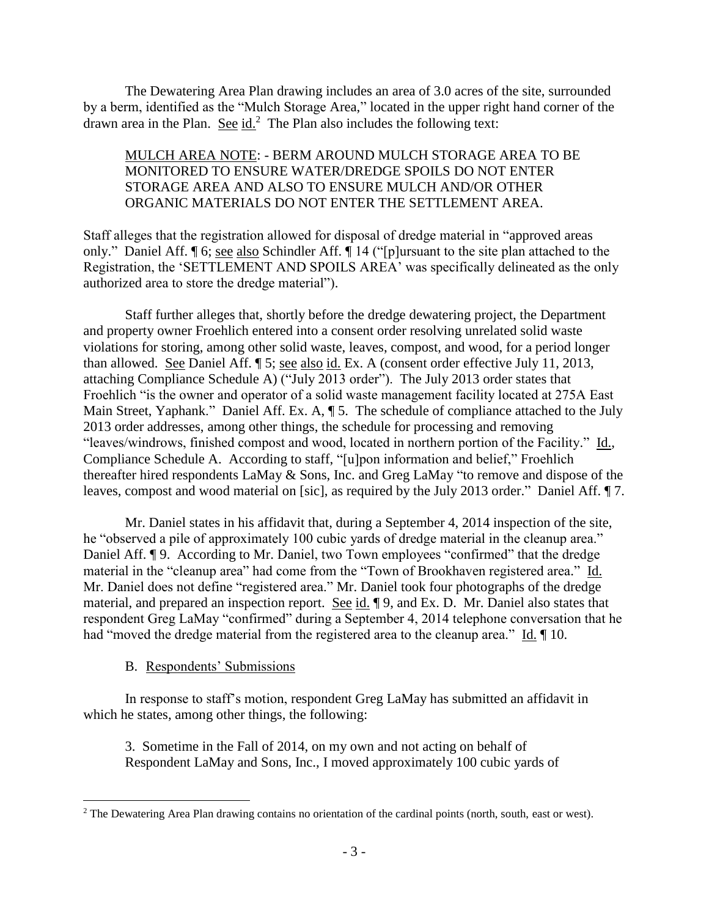The Dewatering Area Plan drawing includes an area of 3.0 acres of the site, surrounded by a berm, identified as the "Mulch Storage Area," located in the upper right hand corner of the drawn area in the Plan. See  $id<sup>2</sup>$ . The Plan also includes the following text:

### MULCH AREA NOTE: - BERM AROUND MULCH STORAGE AREA TO BE MONITORED TO ENSURE WATER/DREDGE SPOILS DO NOT ENTER STORAGE AREA AND ALSO TO ENSURE MULCH AND/OR OTHER ORGANIC MATERIALS DO NOT ENTER THE SETTLEMENT AREA.

Staff alleges that the registration allowed for disposal of dredge material in "approved areas only." Daniel Aff. ¶ 6; see also Schindler Aff. ¶ 14 ("[p]ursuant to the site plan attached to the Registration, the 'SETTLEMENT AND SPOILS AREA' was specifically delineated as the only authorized area to store the dredge material").

Staff further alleges that, shortly before the dredge dewatering project, the Department and property owner Froehlich entered into a consent order resolving unrelated solid waste violations for storing, among other solid waste, leaves, compost, and wood, for a period longer than allowed. See Daniel Aff. ¶ 5; see also id. Ex. A (consent order effective July 11, 2013, attaching Compliance Schedule A) ("July 2013 order"). The July 2013 order states that Froehlich "is the owner and operator of a solid waste management facility located at 275A East Main Street, Yaphank." Daniel Aff. Ex. A,  $\parallel$  5. The schedule of compliance attached to the July 2013 order addresses, among other things, the schedule for processing and removing "leaves/windrows, finished compost and wood, located in northern portion of the Facility." Id., Compliance Schedule A. According to staff, "[u]pon information and belief," Froehlich thereafter hired respondents LaMay & Sons, Inc. and Greg LaMay "to remove and dispose of the leaves, compost and wood material on [sic], as required by the July 2013 order." Daniel Aff. ¶ 7.

Mr. Daniel states in his affidavit that, during a September 4, 2014 inspection of the site, he "observed a pile of approximately 100 cubic yards of dredge material in the cleanup area." Daniel Aff. ¶ 9. According to Mr. Daniel, two Town employees "confirmed" that the dredge material in the "cleanup area" had come from the "Town of Brookhaven registered area." Id. Mr. Daniel does not define "registered area." Mr. Daniel took four photographs of the dredge material, and prepared an inspection report. See id. ¶ 9, and Ex. D. Mr. Daniel also states that respondent Greg LaMay "confirmed" during a September 4, 2014 telephone conversation that he had "moved the dredge material from the registered area to the cleanup area." Id.  $\P$  10.

### B. Respondents' Submissions

 $\overline{a}$ 

In response to staff's motion, respondent Greg LaMay has submitted an affidavit in which he states, among other things, the following:

3. Sometime in the Fall of 2014, on my own and not acting on behalf of Respondent LaMay and Sons, Inc., I moved approximately 100 cubic yards of

<sup>&</sup>lt;sup>2</sup> The Dewatering Area Plan drawing contains no orientation of the cardinal points (north, south, east or west).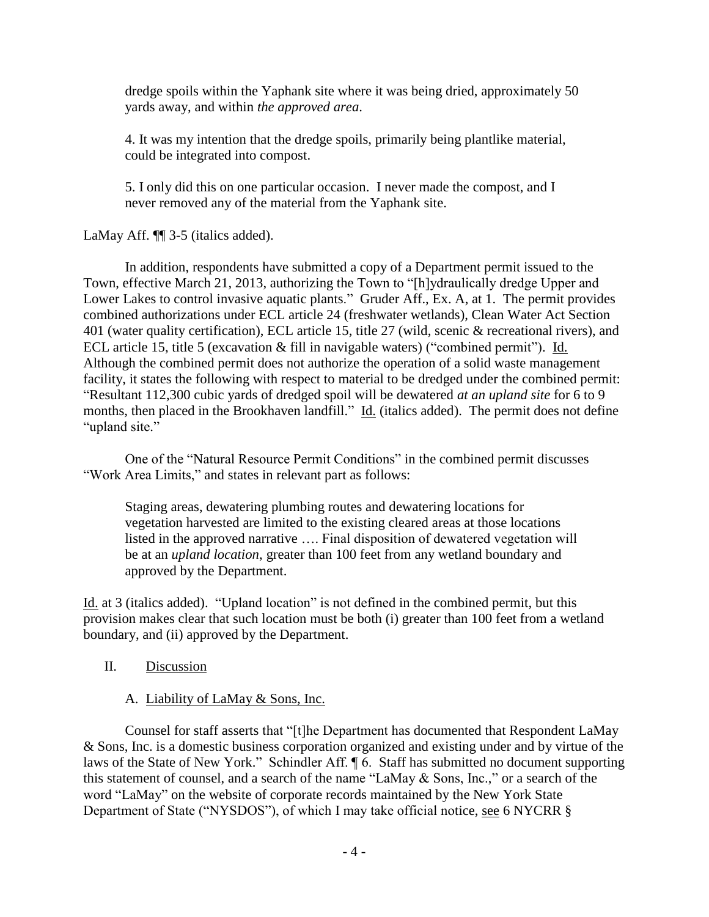dredge spoils within the Yaphank site where it was being dried, approximately 50 yards away, and within *the approved area*.

4. It was my intention that the dredge spoils, primarily being plantlike material, could be integrated into compost.

5. I only did this on one particular occasion. I never made the compost, and I never removed any of the material from the Yaphank site.

# LaMay Aff.  $\P$  3-5 (italics added).

In addition, respondents have submitted a copy of a Department permit issued to the Town, effective March 21, 2013, authorizing the Town to "[h]ydraulically dredge Upper and Lower Lakes to control invasive aquatic plants." Gruder Aff., Ex. A, at 1. The permit provides combined authorizations under ECL article 24 (freshwater wetlands), Clean Water Act Section 401 (water quality certification), ECL article 15, title 27 (wild, scenic & recreational rivers), and ECL article 15, title 5 (excavation & fill in navigable waters) ("combined permit"). Id. Although the combined permit does not authorize the operation of a solid waste management facility, it states the following with respect to material to be dredged under the combined permit: "Resultant 112,300 cubic yards of dredged spoil will be dewatered *at an upland site* for 6 to 9 months, then placed in the Brookhaven landfill." Id. (italics added). The permit does not define "upland site."

One of the "Natural Resource Permit Conditions" in the combined permit discusses "Work Area Limits," and states in relevant part as follows:

Staging areas, dewatering plumbing routes and dewatering locations for vegetation harvested are limited to the existing cleared areas at those locations listed in the approved narrative …. Final disposition of dewatered vegetation will be at an *upland location*, greater than 100 feet from any wetland boundary and approved by the Department.

Id. at 3 (italics added). "Upland location" is not defined in the combined permit, but this provision makes clear that such location must be both (i) greater than 100 feet from a wetland boundary, and (ii) approved by the Department.

# II. Discussion

# A. Liability of LaMay & Sons, Inc.

Counsel for staff asserts that "[t]he Department has documented that Respondent LaMay & Sons, Inc. is a domestic business corporation organized and existing under and by virtue of the laws of the State of New York." Schindler Aff. ¶ 6. Staff has submitted no document supporting this statement of counsel, and a search of the name "LaMay & Sons, Inc.," or a search of the word "LaMay" on the website of corporate records maintained by the New York State Department of State ("NYSDOS"), of which I may take official notice, see 6 NYCRR §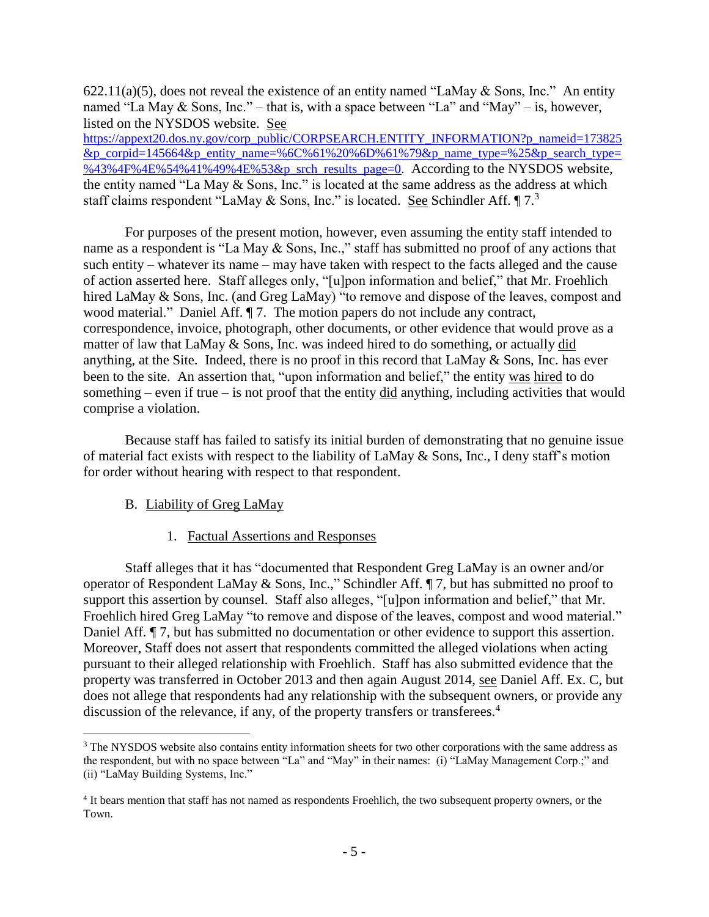622.11(a)(5), does not reveal the existence of an entity named "LaMay & Sons, Inc." An entity named "La May & Sons, Inc." – that is, with a space between "La" and "May" – is, however, listed on the NYSDOS website. See [https://appext20.dos.ny.gov/corp\\_public/CORPSEARCH.ENTITY\\_INFORMATION?p\\_nameid=173825](https://appext20.dos.ny.gov/corp_public/CORPSEARCH.ENTITY_INFORMATION?p_nameid=173825&p_corpid=145664&p_entity_name=%6C%61%20%6D%61%79&p_name_type=%25&p_search_type=%43%4F%4E%54%41%49%4E%53&p_srch_results_page=0) [&p\\_corpid=145664&p\\_entity\\_name=%6C%61%20%6D%61%79&p\\_name\\_type=%25&p\\_search\\_type=](https://appext20.dos.ny.gov/corp_public/CORPSEARCH.ENTITY_INFORMATION?p_nameid=173825&p_corpid=145664&p_entity_name=%6C%61%20%6D%61%79&p_name_type=%25&p_search_type=%43%4F%4E%54%41%49%4E%53&p_srch_results_page=0) [%43%4F%4E%54%41%49%4E%53&p\\_srch\\_results\\_page=0.](https://appext20.dos.ny.gov/corp_public/CORPSEARCH.ENTITY_INFORMATION?p_nameid=173825&p_corpid=145664&p_entity_name=%6C%61%20%6D%61%79&p_name_type=%25&p_search_type=%43%4F%4E%54%41%49%4E%53&p_srch_results_page=0) According to the NYSDOS website,

the entity named "La May & Sons, Inc." is located at the same address as the address at which staff claims respondent "LaMay & Sons, Inc." is located. See Schindler Aff.  $\P$ 7.<sup>3</sup>

For purposes of the present motion, however, even assuming the entity staff intended to name as a respondent is "La May & Sons, Inc.," staff has submitted no proof of any actions that such entity – whatever its name – may have taken with respect to the facts alleged and the cause of action asserted here. Staff alleges only, "[u]pon information and belief," that Mr. Froehlich hired LaMay & Sons, Inc. (and Greg LaMay) "to remove and dispose of the leaves, compost and wood material." Daniel Aff.  $\P$  7. The motion papers do not include any contract, correspondence, invoice, photograph, other documents, or other evidence that would prove as a matter of law that LaMay & Sons, Inc. was indeed hired to do something, or actually did anything, at the Site. Indeed, there is no proof in this record that LaMay & Sons, Inc. has ever been to the site. An assertion that, "upon information and belief," the entity was hired to do something – even if true – is not proof that the entity  $\frac{di}{dt}$  anything, including activities that would comprise a violation.

Because staff has failed to satisfy its initial burden of demonstrating that no genuine issue of material fact exists with respect to the liability of LaMay & Sons, Inc., I deny staff's motion for order without hearing with respect to that respondent.

### B. Liability of Greg LaMay

 $\overline{a}$ 

#### 1. Factual Assertions and Responses

Staff alleges that it has "documented that Respondent Greg LaMay is an owner and/or operator of Respondent LaMay & Sons, Inc.," Schindler Aff. ¶ 7, but has submitted no proof to support this assertion by counsel. Staff also alleges, "[u]pon information and belief," that Mr. Froehlich hired Greg LaMay "to remove and dispose of the leaves, compost and wood material." Daniel Aff. ¶ 7, but has submitted no documentation or other evidence to support this assertion. Moreover, Staff does not assert that respondents committed the alleged violations when acting pursuant to their alleged relationship with Froehlich. Staff has also submitted evidence that the property was transferred in October 2013 and then again August 2014, see Daniel Aff. Ex. C, but does not allege that respondents had any relationship with the subsequent owners, or provide any discussion of the relevance, if any, of the property transfers or transferees.<sup>4</sup>

<sup>&</sup>lt;sup>3</sup> The NYSDOS website also contains entity information sheets for two other corporations with the same address as the respondent, but with no space between "La" and "May" in their names: (i) "LaMay Management Corp.;" and (ii) "LaMay Building Systems, Inc."

<sup>4</sup> It bears mention that staff has not named as respondents Froehlich, the two subsequent property owners, or the Town.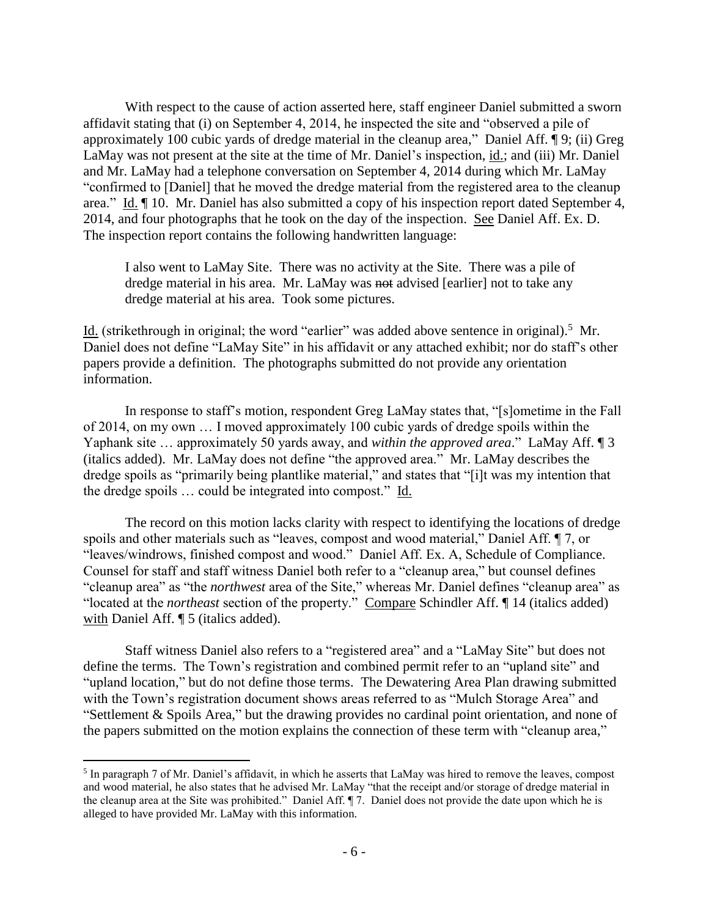With respect to the cause of action asserted here, staff engineer Daniel submitted a sworn affidavit stating that (i) on September 4, 2014, he inspected the site and "observed a pile of approximately 100 cubic yards of dredge material in the cleanup area," Daniel Aff. ¶ 9; (ii) Greg LaMay was not present at the site at the time of Mr. Daniel's inspection, id.; and (iii) Mr. Daniel and Mr. LaMay had a telephone conversation on September 4, 2014 during which Mr. LaMay "confirmed to [Daniel] that he moved the dredge material from the registered area to the cleanup area." Id. ¶ 10. Mr. Daniel has also submitted a copy of his inspection report dated September 4, 2014, and four photographs that he took on the day of the inspection. See Daniel Aff. Ex. D. The inspection report contains the following handwritten language:

I also went to LaMay Site. There was no activity at the Site. There was a pile of dredge material in his area. Mr. LaMay was not advised [earlier] not to take any dredge material at his area. Took some pictures.

Id. (strikethrough in original; the word "earlier" was added above sentence in original).<sup>5</sup> Mr. Daniel does not define "LaMay Site" in his affidavit or any attached exhibit; nor do staff's other papers provide a definition. The photographs submitted do not provide any orientation information.

In response to staff's motion, respondent Greg LaMay states that, "[s]ometime in the Fall of 2014, on my own … I moved approximately 100 cubic yards of dredge spoils within the Yaphank site … approximately 50 yards away, and *within the approved area*." LaMay Aff. ¶ 3 (italics added). Mr. LaMay does not define "the approved area." Mr. LaMay describes the dredge spoils as "primarily being plantlike material," and states that "[i]t was my intention that the dredge spoils … could be integrated into compost." Id.

The record on this motion lacks clarity with respect to identifying the locations of dredge spoils and other materials such as "leaves, compost and wood material," Daniel Aff. ¶ 7, or "leaves/windrows, finished compost and wood." Daniel Aff. Ex. A, Schedule of Compliance. Counsel for staff and staff witness Daniel both refer to a "cleanup area," but counsel defines "cleanup area" as "the *northwest* area of the Site," whereas Mr. Daniel defines "cleanup area" as "located at the *northeast* section of the property." Compare Schindler Aff. ¶ 14 (italics added) with Daniel Aff.  $\P$  5 (italics added).

Staff witness Daniel also refers to a "registered area" and a "LaMay Site" but does not define the terms. The Town's registration and combined permit refer to an "upland site" and "upland location," but do not define those terms. The Dewatering Area Plan drawing submitted with the Town's registration document shows areas referred to as "Mulch Storage Area" and "Settlement & Spoils Area," but the drawing provides no cardinal point orientation, and none of the papers submitted on the motion explains the connection of these term with "cleanup area,"

 $\overline{a}$ 

<sup>&</sup>lt;sup>5</sup> In paragraph 7 of Mr. Daniel's affidavit, in which he asserts that LaMay was hired to remove the leaves, compost and wood material, he also states that he advised Mr. LaMay "that the receipt and/or storage of dredge material in the cleanup area at the Site was prohibited." Daniel Aff. ¶ 7. Daniel does not provide the date upon which he is alleged to have provided Mr. LaMay with this information.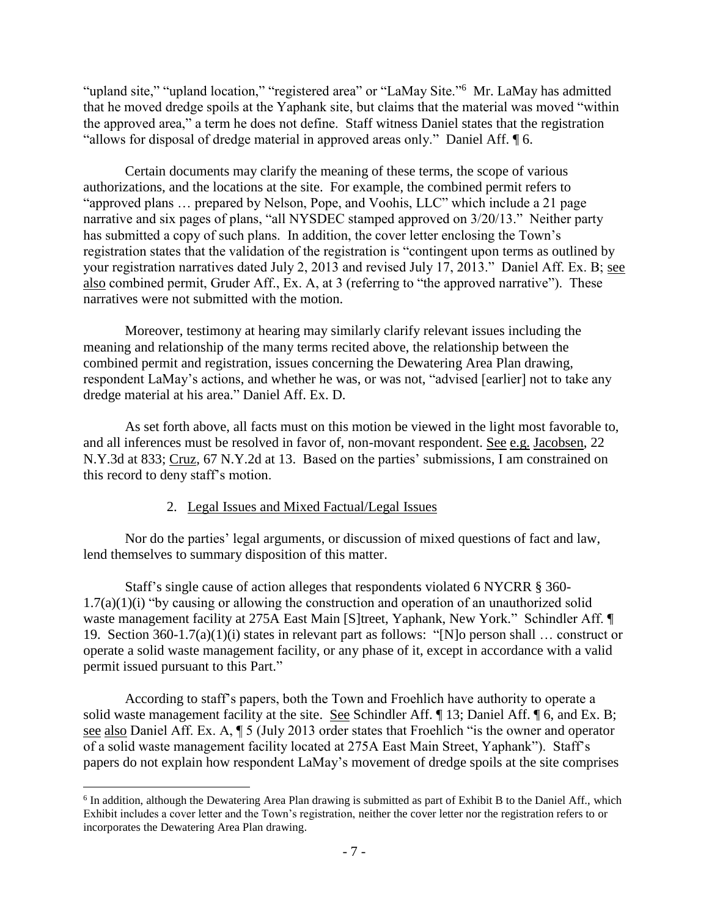"upland site," "upland location," "registered area" or "LaMay Site."<sup>6</sup> Mr. LaMay has admitted that he moved dredge spoils at the Yaphank site, but claims that the material was moved "within the approved area," a term he does not define. Staff witness Daniel states that the registration "allows for disposal of dredge material in approved areas only." Daniel Aff. ¶ 6.

Certain documents may clarify the meaning of these terms, the scope of various authorizations, and the locations at the site. For example, the combined permit refers to "approved plans … prepared by Nelson, Pope, and Voohis, LLC" which include a 21 page narrative and six pages of plans, "all NYSDEC stamped approved on 3/20/13." Neither party has submitted a copy of such plans. In addition, the cover letter enclosing the Town's registration states that the validation of the registration is "contingent upon terms as outlined by your registration narratives dated July 2, 2013 and revised July 17, 2013." Daniel Aff. Ex. B; see also combined permit, Gruder Aff., Ex. A, at 3 (referring to "the approved narrative"). These narratives were not submitted with the motion.

Moreover, testimony at hearing may similarly clarify relevant issues including the meaning and relationship of the many terms recited above, the relationship between the combined permit and registration, issues concerning the Dewatering Area Plan drawing, respondent LaMay's actions, and whether he was, or was not, "advised [earlier] not to take any dredge material at his area." Daniel Aff. Ex. D.

As set forth above, all facts must on this motion be viewed in the light most favorable to, and all inferences must be resolved in favor of, non-movant respondent. See e.g. Jacobsen, 22 N.Y.3d at 833; Cruz, 67 N.Y.2d at 13. Based on the parties' submissions, I am constrained on this record to deny staff's motion.

# 2. Legal Issues and Mixed Factual/Legal Issues

Nor do the parties' legal arguments, or discussion of mixed questions of fact and law, lend themselves to summary disposition of this matter.

Staff's single cause of action alleges that respondents violated 6 NYCRR § 360-  $1.7(a)(1)(i)$  "by causing or allowing the construction and operation of an unauthorized solid waste management facility at 275A East Main [S]treet, Yaphank, New York." Schindler Aff. ¶ 19. Section 360-1.7(a)(1)(i) states in relevant part as follows: "[N]o person shall … construct or operate a solid waste management facility, or any phase of it, except in accordance with a valid permit issued pursuant to this Part."

According to staff's papers, both the Town and Froehlich have authority to operate a solid waste management facility at the site. See Schindler Aff. ¶ 13; Daniel Aff. ¶ 6, and Ex. B; see also Daniel Aff. Ex. A, ¶ 5 (July 2013 order states that Froehlich "is the owner and operator of a solid waste management facility located at 275A East Main Street, Yaphank"). Staff's papers do not explain how respondent LaMay's movement of dredge spoils at the site comprises

 $\overline{a}$ <sup>6</sup> In addition, although the Dewatering Area Plan drawing is submitted as part of Exhibit B to the Daniel Aff., which Exhibit includes a cover letter and the Town's registration, neither the cover letter nor the registration refers to or incorporates the Dewatering Area Plan drawing.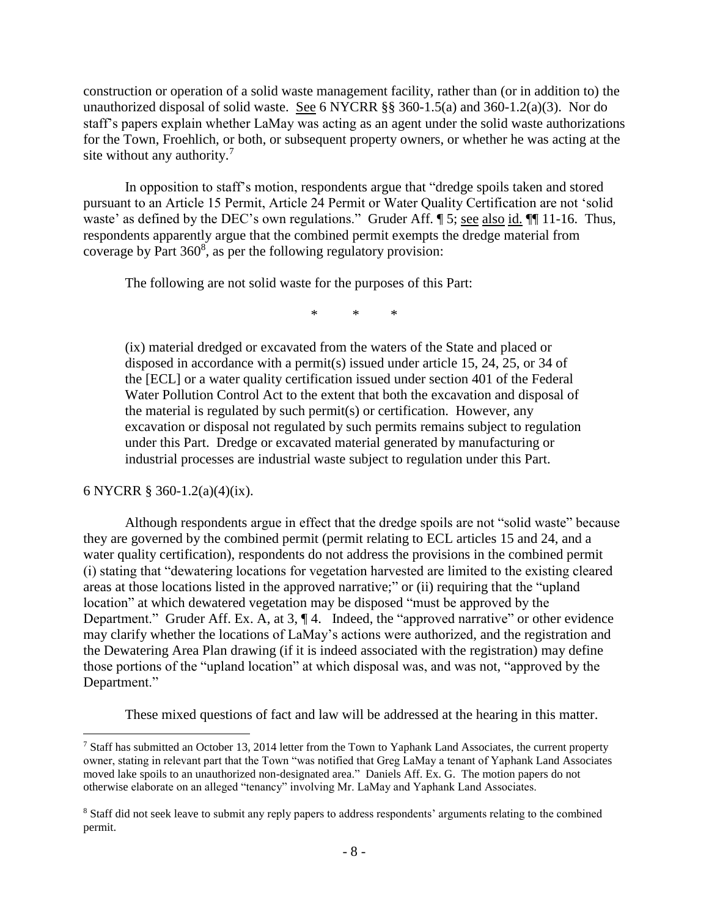construction or operation of a solid waste management facility, rather than (or in addition to) the unauthorized disposal of solid waste. See 6 NYCRR  $\S$ § 360-1.5(a) and 360-1.2(a)(3). Nor do staff's papers explain whether LaMay was acting as an agent under the solid waste authorizations for the Town, Froehlich, or both, or subsequent property owners, or whether he was acting at the site without any authority.<sup>7</sup>

In opposition to staff's motion, respondents argue that "dredge spoils taken and stored pursuant to an Article 15 Permit, Article 24 Permit or Water Quality Certification are not 'solid waste' as defined by the DEC's own regulations." Gruder Aff.  $\$\,5$ ; see also id.  $\P$  11-16. Thus, respondents apparently argue that the combined permit exempts the dredge material from coverage by Part  $360^8$ , as per the following regulatory provision:

The following are not solid waste for the purposes of this Part:

\* \* \*

(ix) material dredged or excavated from the waters of the State and placed or disposed in accordance with a permit(s) issued under article 15, 24, 25, or 34 of the [ECL] or a water quality certification issued under section 401 of the Federal Water Pollution Control Act to the extent that both the excavation and disposal of the material is regulated by such permit(s) or certification. However, any excavation or disposal not regulated by such permits remains subject to regulation under this Part. Dredge or excavated material generated by manufacturing or industrial processes are industrial waste subject to regulation under this Part.

6 NYCRR § 360-1.2(a)(4)(ix).

 $\overline{a}$ 

Although respondents argue in effect that the dredge spoils are not "solid waste" because they are governed by the combined permit (permit relating to ECL articles 15 and 24, and a water quality certification), respondents do not address the provisions in the combined permit (i) stating that "dewatering locations for vegetation harvested are limited to the existing cleared areas at those locations listed in the approved narrative;" or (ii) requiring that the "upland location" at which dewatered vegetation may be disposed "must be approved by the Department." Gruder Aff. Ex. A, at 3,  $\P$  4. Indeed, the "approved narrative" or other evidence may clarify whether the locations of LaMay's actions were authorized, and the registration and the Dewatering Area Plan drawing (if it is indeed associated with the registration) may define those portions of the "upland location" at which disposal was, and was not, "approved by the Department."

These mixed questions of fact and law will be addressed at the hearing in this matter.

 $^7$  Staff has submitted an October 13, 2014 letter from the Town to Yaphank Land Associates, the current property owner, stating in relevant part that the Town "was notified that Greg LaMay a tenant of Yaphank Land Associates moved lake spoils to an unauthorized non-designated area." Daniels Aff. Ex. G. The motion papers do not otherwise elaborate on an alleged "tenancy" involving Mr. LaMay and Yaphank Land Associates.

<sup>&</sup>lt;sup>8</sup> Staff did not seek leave to submit any reply papers to address respondents' arguments relating to the combined permit.